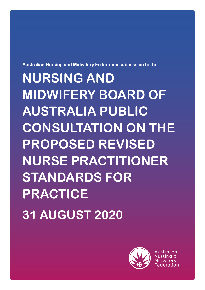

Australian

# **NURSING AND MIDWIFERY BOARD OF AUSTRALIA PUBLIC CONSULTATION ON THE PROPOSED REVISED NURSE PRACTITIONER STANDARDS FOR PRACTICE 31 AUGUST 2020**

**Australian Nursing and Midwifery Federation submission to the**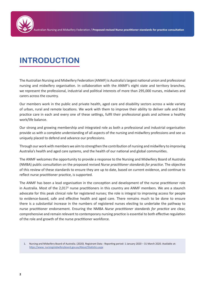## **INTRODUCTION**

The Australian Nursing and Midwifery Federation (ANMF) is Australia's largest national union and professional nursing and midwifery organisation. In collaboration with the ANMF's eight state and territory branches, we represent the professional, industrial and political interests of more than 295,000 nurses, midwives and carers across the country.

Our members work in the public and private health, aged care and disability sectors across a wide variety of urban, rural and remote locations. We work with them to improve their ability to deliver safe and best practice care in each and every one of these settings, fulfil their professional goals and achieve a healthy work/life balance.

Our strong and growing membership and integrated role as both a professional and industrial organisation provide us with a complete understanding of all aspects of the nursing and midwifery professions and see us uniquely placed to defend and advance our professions.

Through our work with members we aim to strengthen the contribution of nursing and midwifery to improving Australia's health and aged care systems, and the health of our national and global communities.

The ANMF welcomes the opportunity to provide a response to the Nursing and Midwifery Board of Australia (NMBA) public consultation on the proposed revised *Nurse practitioner standards for practice*. The objective of this review of these standards to ensure they are up to date, based on current evidence, and continue to reflect nurse practitioner practice, is supported.

The ANMF has been a lead organisation in the conception and development of the nurse practitioner role in Australia. Most of the 2,017<sup>1</sup> nurse practitioners in this country are ANMF members. We are a staunch advocate for this peak clinical role for registered nurses; the role is integral to improving access for people to evidence-based, safe and effective health and aged care. There remains much to be done to ensure there is a substantial increase in the numbers of registered nurses electing to undertake the pathway to nurse practitioner endorsement. Ensuring the NMBA *Nurse practitioner standards for practice* are clear, comprehensive and remain relevant to contemporary nursing practice is essential to both effective regulation of the role and growth of the nurse practitioner workforce.

1. Nursing and Midwifery Board of Australia. (2020). Registrant Data - Reporting period: 1 January 2020 – 31 March 2020. Available at: https://www. nursingmidwiferyboard.gov.au/About/Statistics.aspx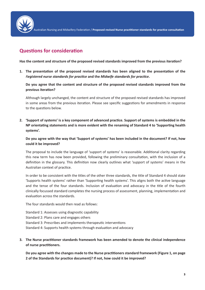

Australian Nursing and Midwifery Federation / **Proposed revised Nurse practitioner standards for practice consultation**

### **Questions for consideration**

**Has the content and structure of the proposed revised standards improved from the previous iteration?** 

**1. The presentation of the proposed revised standards has been aligned to the presentation of the**  *Registered nurse standards for practice* **and the** *Midwife standards for practice***.**

**Do you agree that the content and structure of the proposed revised standards improved from the previous iteration?**

Although largely unchanged, the content and structure of the proposed revised standards has improved in some areas from the previous iteration. Please see specific suggestions for amendments in response to the questions below.

**2. 'Support of systems' is a key component of advanced practice. Support of systems is embedded in the NP orientating statements and is more evident with the renaming of Standard 4 to 'Supporting health systems'.**

**Do you agree with the way that 'Support of systems' has been included in the document? If not, how could it be improved?** 

The proposal to include the language of 'support of systems' is reasonable. Additional clarity regarding this new term has now been provided, following the preliminary consultation, with the inclusion of a definition in the glossary. This definition now clearly outlines what 'support of systems' means in the Australian context of practice.

In order to be consistent with the titles of the other three standards, the title of Standard 4 should state 'Supports health systems' rather than 'Supporting health systems'. This aligns both the active language and the tense of the four standards. Inclusion of evaluation and advocacy in the title of the fourth clinically focussed standard completes the nursing process of assessment, planning, implementation and evaluation across the standards.

The four standards would then read as follows:

Standard 1: Assesses using diagnostic capability

Standard 2: Plans care and engages others

Standard 3: Prescribes and implements therapeutic interventions

Standard 4: Supports health systems through evaluation and advocacy

**3. The Nurse practitioner standards framework has been amended to denote the clinical independence of nurse practitioners.**

**Do you agree with the changes made to the Nurse practitioners standard framework (Figure 1, on page 2 of the Standards for practice document)? If not, how could it be improved?**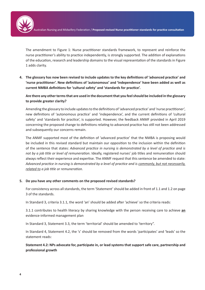ustralian Nursing and Midwifery Federation / Proposed revised Nurse practitioner standards for practice consultation

The amendment to Figure 1: Nurse practitioner standards framework, to represent and reinforce the nurse practitioner's ability to practice independently, is strongly supported. The addition of explanations of the education, research and leadership domains to the visual representation of the standards in Figure 1 adds clarity.

**4. The glossary has now been revised to include updates to the key definitions of 'advanced practice' and 'nurse practitioner'. New definitions of 'autonomous' and 'independence' have been added as well as current NMBA definitions for 'cultural safety' and 'standards for practice'.** 

**Are there any other terms that are used in the document that you feel should be included in the glossary to provide greater clarity?** 

Amending the glossary to include updates to the definitions of 'advanced practice' and 'nurse practitioner', new definitions of 'autonomous practice' and 'independence', and the current definitions of 'cultural safety' and 'standards for practice', is supported. However, the feedback ANMF provided in April 2019 concerning the proposed change to definitions relating to advanced practice has still not been addressed and subsequently our concerns remain.

The ANMF supported most of the definition of 'advanced practice' that the NMBA is proposing would be included in this revised standard but maintain our opposition to the inclusion within the definition of the sentence that states: *Advanced practice in nursing is demonstrated by a level of practice and is not by a job title or level of remuneration*. Ideally, registered nurses' job titles and remuneration should always reflect their experience and expertise. The ANMF request that this sentence be amended to state: *Advanced practice in nursing is demonstrated by a level of practice and is commonly, but not necessarily, related to a job title or remuneration.*

#### **5. Do you have any other comments on the proposed revised standards?**

For consistency across all standards, the term 'Statement' should be added in front of 1.1 and 1.2 on page 3 of the standards.

In Standard 3, criteria 3.1.1, the word 'an' should be added after 'achieve' so the criteria reads:

3.1.1 contributes to health literacy by sharing knowledge with the person receiving care to achieve **an** evidence-informed management plan

In Standard 3, Statement 3.3, the term 'territorial' should be amended to 'territory".

In Standard 4, Statement 4.2, the 's' should be removed from the words 'participates' and 'leads' so the statement reads:

**Statement 4.2: NPs advocate for, participate in, or lead systems that support safe care, partnership and professional growth**